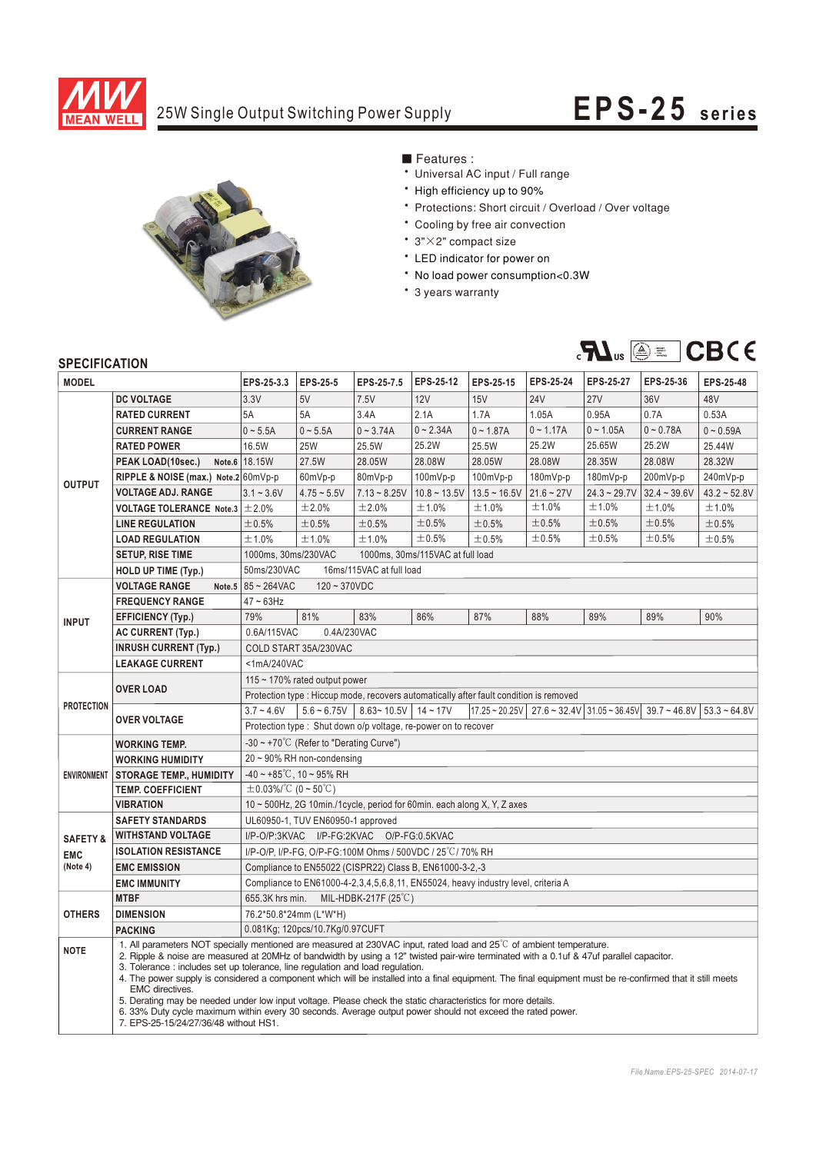

## 25W Single Output Switching Power Supply **EPS-25 series**



■ Features :

- Universal AC input / Full range
- \* High efficiency up to 90%
- \* Protections: Short circuit / Overload / Over voltage
- \* Cooling by free air convection
- 3"×2" compact size
- \* LED indicator for power on
- \* No load power consumption<0.3W
- \* 3 years warranty



## **SPECIFICATION**

| <b>MODEL</b>        |                                                                                                                                                                                                                                                                                                                                                                                                                                                      | EPS-25-3.3                                                                                                                                                                      | <b>EPS-25-5</b> | EPS-25-7.5     | EPS-25-12      | EPS-25-15      | <b>EPS-25-24</b> | <b>EPS-25-27</b> | EPS-25-36      | EPS-25-48         |
|---------------------|------------------------------------------------------------------------------------------------------------------------------------------------------------------------------------------------------------------------------------------------------------------------------------------------------------------------------------------------------------------------------------------------------------------------------------------------------|---------------------------------------------------------------------------------------------------------------------------------------------------------------------------------|-----------------|----------------|----------------|----------------|------------------|------------------|----------------|-------------------|
| <b>OUTPUT</b>       | <b>DC VOLTAGE</b>                                                                                                                                                                                                                                                                                                                                                                                                                                    | 3.3V                                                                                                                                                                            | 5V              | 7.5V           | <b>12V</b>     | 15V            | <b>24V</b>       | <b>27V</b>       | 36V            | 48V               |
|                     | <b>RATED CURRENT</b>                                                                                                                                                                                                                                                                                                                                                                                                                                 | 5A                                                                                                                                                                              | 5A              | 3.4A           | 2.1A           | 1.7A           | 1.05A            | 0.95A            | 0.7A           | 0.53A             |
|                     | <b>CURRENT RANGE</b>                                                                                                                                                                                                                                                                                                                                                                                                                                 | $0 - 5.5A$                                                                                                                                                                      | $0 - 5.5A$      | $0 - 3.74A$    | $0 - 2.34A$    | $0 - 1.87A$    | $0 - 1.17A$      | $0 - 1.05A$      | $0 - 0.78A$    | $0 - 0.59A$       |
|                     | <b>RATED POWER</b>                                                                                                                                                                                                                                                                                                                                                                                                                                   | 16.5W                                                                                                                                                                           | 25W             | 25.5W          | 25.2W          | 25.5W          | 25.2W            | 25.65W           | 25.2W          | 25.44W            |
|                     | PEAK LOAD(10sec.)                                                                                                                                                                                                                                                                                                                                                                                                                                    | Note.6 18.15W                                                                                                                                                                   | 27.5W           | 28.05W         | 28.08W         | 28.05W         | 28.08W           | 28.35W           | 28.08W         | 28.32W            |
|                     | RIPPLE & NOISE (max.) Note.2 60mVp-p                                                                                                                                                                                                                                                                                                                                                                                                                 |                                                                                                                                                                                 | 60mVp-p         | 80mVp-p        | 100mVp-p       | 100mVp-p       | $180mVp-p$       | 180mVp-p         | 200mVp-p       | 240mVp-p          |
|                     | <b>VOLTAGE ADJ. RANGE</b>                                                                                                                                                                                                                                                                                                                                                                                                                            | $3.1 - 3.6V$                                                                                                                                                                    | $4.75 - 5.5V$   | $7.13 - 8.25V$ | $10.8 - 13.5V$ | $13.5 - 16.5V$ | $21.6 - 27V$     | $24.3 - 29.7V$   | $32.4 - 39.6V$ | $43.2 \div 52.8V$ |
|                     | <b>VOLTAGE TOLERANCE Note.3</b>                                                                                                                                                                                                                                                                                                                                                                                                                      | ±2.0%                                                                                                                                                                           | ±2.0%           | ±2.0%          | ±1.0%          | ±1.0%          | ±1.0%            | ±1.0%            | ±1.0%          | ±1.0%             |
|                     | <b>LINE REGULATION</b>                                                                                                                                                                                                                                                                                                                                                                                                                               | $\pm 0.5%$                                                                                                                                                                      | ±0.5%           | $\pm 0.5\%$    | $\pm 0.5\%$    | ±0.5%          | $\pm 0.5\%$      | ±0.5%            | ±0.5%          | ±0.5%             |
|                     | <b>LOAD REGULATION</b>                                                                                                                                                                                                                                                                                                                                                                                                                               | ±1.0%                                                                                                                                                                           | ±1.0%           | ±1.0%          | ±0.5%          | ±0.5%          | ±0.5%            | ±0.5%            | ±0.5%          | ±0.5%             |
|                     | <b>SETUP, RISE TIME</b>                                                                                                                                                                                                                                                                                                                                                                                                                              | 1000ms, 30ms/230VAC<br>1000ms, 30ms/115VAC at full load                                                                                                                         |                 |                |                |                |                  |                  |                |                   |
|                     | <b>HOLD UP TIME (Typ.)</b>                                                                                                                                                                                                                                                                                                                                                                                                                           | 50ms/230VAC<br>16ms/115VAC at full load                                                                                                                                         |                 |                |                |                |                  |                  |                |                   |
| <b>INPUT</b>        | <b>VOLTAGE RANGE</b><br>Note.5                                                                                                                                                                                                                                                                                                                                                                                                                       | 85~264VAC<br>$120 - 370VDC$                                                                                                                                                     |                 |                |                |                |                  |                  |                |                   |
|                     | <b>FREQUENCY RANGE</b>                                                                                                                                                                                                                                                                                                                                                                                                                               | $47 \sim 63$ Hz                                                                                                                                                                 |                 |                |                |                |                  |                  |                |                   |
|                     | <b>EFFICIENCY (Typ.)</b>                                                                                                                                                                                                                                                                                                                                                                                                                             | 79%                                                                                                                                                                             | 81%             | 83%            | 86%            | 87%            | 88%              | 89%              | 89%            | 90%               |
|                     | <b>AC CURRENT (Typ.)</b>                                                                                                                                                                                                                                                                                                                                                                                                                             | 0.4A/230VAC<br>0.6A/115VAC                                                                                                                                                      |                 |                |                |                |                  |                  |                |                   |
|                     | <b>INRUSH CURRENT (Typ.)</b>                                                                                                                                                                                                                                                                                                                                                                                                                         | COLD START 35A/230VAC                                                                                                                                                           |                 |                |                |                |                  |                  |                |                   |
|                     | <b>LEAKAGE CURRENT</b>                                                                                                                                                                                                                                                                                                                                                                                                                               | <1mA/240VAC                                                                                                                                                                     |                 |                |                |                |                  |                  |                |                   |
| <b>PROTECTION</b>   | <b>OVER LOAD</b>                                                                                                                                                                                                                                                                                                                                                                                                                                     | 115 $\sim$ 170% rated output power                                                                                                                                              |                 |                |                |                |                  |                  |                |                   |
|                     |                                                                                                                                                                                                                                                                                                                                                                                                                                                      | Protection type : Hiccup mode, recovers automatically after fault condition is removed                                                                                          |                 |                |                |                |                  |                  |                |                   |
|                     | <b>OVER VOLTAGE</b>                                                                                                                                                                                                                                                                                                                                                                                                                                  | $5.6 - 6.75V$<br>$8.63 - 10.5V$<br>$17.25 - 20.25V$<br>$3.7 - 4.6V$<br>$14 - 17V$<br>$27.6 \approx 32.4 \text{V}$ 31.05 $\approx 36.45 \text{V}$<br>$39.7 - 46.8V$ 53.3 ~ 64.8V |                 |                |                |                |                  |                  |                |                   |
|                     |                                                                                                                                                                                                                                                                                                                                                                                                                                                      | Protection type: Shut down o/p voltage, re-power on to recover                                                                                                                  |                 |                |                |                |                  |                  |                |                   |
| <b>ENVIRONMENT</b>  | <b>WORKING TEMP.</b>                                                                                                                                                                                                                                                                                                                                                                                                                                 | $-30 \sim +70^{\circ}$ C (Refer to "Derating Curve")                                                                                                                            |                 |                |                |                |                  |                  |                |                   |
|                     | <b>WORKING HUMIDITY</b>                                                                                                                                                                                                                                                                                                                                                                                                                              | $20 \sim 90\%$ RH non-condensing                                                                                                                                                |                 |                |                |                |                  |                  |                |                   |
|                     | <b>STORAGE TEMP., HUMIDITY</b>                                                                                                                                                                                                                                                                                                                                                                                                                       | $-40 \sim +85^{\circ}$ C, 10 ~ 95% RH                                                                                                                                           |                 |                |                |                |                  |                  |                |                   |
|                     | <b>TEMP. COEFFICIENT</b>                                                                                                                                                                                                                                                                                                                                                                                                                             | $\pm$ 0.03%/°C (0 ~ 50°C)                                                                                                                                                       |                 |                |                |                |                  |                  |                |                   |
|                     | <b>VIBRATION</b>                                                                                                                                                                                                                                                                                                                                                                                                                                     | 10 ~ 500Hz, 2G 10min./1cycle, period for 60min. each along X, Y, Z axes                                                                                                         |                 |                |                |                |                  |                  |                |                   |
|                     | <b>SAFETY STANDARDS</b>                                                                                                                                                                                                                                                                                                                                                                                                                              | UL60950-1, TUV EN60950-1 approved                                                                                                                                               |                 |                |                |                |                  |                  |                |                   |
| <b>SAFETY &amp;</b> | I/P-O/P:3KVAC I/P-FG:2KVAC O/P-FG:0.5KVAC<br><b>WITHSTAND VOLTAGE</b>                                                                                                                                                                                                                                                                                                                                                                                |                                                                                                                                                                                 |                 |                |                |                |                  |                  |                |                   |
| <b>EMC</b>          | <b>ISOLATION RESISTANCE</b>                                                                                                                                                                                                                                                                                                                                                                                                                          | I/P-O/P, I/P-FG, O/P-FG:100M Ohms / 500VDC / 25°C/70% RH                                                                                                                        |                 |                |                |                |                  |                  |                |                   |
| (Note 4)            | <b>EMC EMISSION</b>                                                                                                                                                                                                                                                                                                                                                                                                                                  | Compliance to EN55022 (CISPR22) Class B, EN61000-3-2,-3                                                                                                                         |                 |                |                |                |                  |                  |                |                   |
| <b>OTHERS</b>       | <b>EMC IMMUNITY</b>                                                                                                                                                                                                                                                                                                                                                                                                                                  | Compliance to EN61000-4-2,3,4,5,6,8,11, EN55024, heavy industry level, criteria A                                                                                               |                 |                |                |                |                  |                  |                |                   |
|                     | <b>MTBF</b>                                                                                                                                                                                                                                                                                                                                                                                                                                          | 655.3K hrs min.<br>MIL-HDBK-217F $(25^{\circ}C)$                                                                                                                                |                 |                |                |                |                  |                  |                |                   |
|                     | <b>DIMENSION</b>                                                                                                                                                                                                                                                                                                                                                                                                                                     | 76.2*50.8*24mm (L*W*H)                                                                                                                                                          |                 |                |                |                |                  |                  |                |                   |
|                     | <b>PACKING</b>                                                                                                                                                                                                                                                                                                                                                                                                                                       | 0.081Kg; 120pcs/10.7Kg/0.97CUFT                                                                                                                                                 |                 |                |                |                |                  |                  |                |                   |
| <b>NOTE</b>         | 1. All parameters NOT specially mentioned are measured at 230VAC input, rated load and 25°C of ambient temperature.<br>2. Ripple & noise are measured at 20MHz of bandwidth by using a 12" twisted pair-wire terminated with a 0.1uf & 47uf parallel capacitor.<br>3. Tolerance: includes set up tolerance, line regulation and load regulation.                                                                                                     |                                                                                                                                                                                 |                 |                |                |                |                  |                  |                |                   |
|                     | 4. The power supply is considered a component which will be installed into a final equipment. The final equipment must be re-confirmed that it still meets<br>EMC directives.<br>5. Derating may be needed under low input voltage. Please check the static characteristics for more details.<br>6. 33% Duty cycle maximum within every 30 seconds. Average output power should not exceed the rated power.<br>7. EPS-25-15/24/27/36/48 without HS1. |                                                                                                                                                                                 |                 |                |                |                |                  |                  |                |                   |
|                     |                                                                                                                                                                                                                                                                                                                                                                                                                                                      |                                                                                                                                                                                 |                 |                |                |                |                  |                  |                |                   |